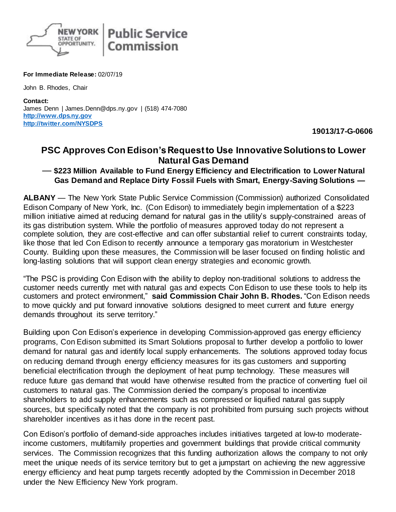

## **For Immediate Release:** 02/07/19

John B. Rhodes, Chair

**Contact:** James Denn | James.Denn@dps.ny.gov | (518) 474-7080 **[http://www.dps.ny.gov](http://www.dps.ny.gov/) <http://twitter.com/NYSDPS>**

**19013/17-G-0606**

## **PSC Approves Con Edison's Request to Use Innovative Solutions to Lower Natural Gas Demand**

## — **\$223 Million Available to Fund Energy Efficiency and Electrification to Lower Natural Gas Demand and Replace Dirty Fossil Fuels with Smart, Energy-Saving Solutions —**

**ALBANY** — The New York State Public Service Commission (Commission) authorized Consolidated Edison Company of New York, Inc. (Con Edison) to immediately begin implementation of a \$223 million initiative aimed at reducing demand for natural gas in the utility's supply-constrained areas of its gas distribution system. While the portfolio of measures approved today do not represent a complete solution, they are cost-effective and can offer substantial relief to current constraints today, like those that led Con Edison to recently announce a temporary gas moratorium in Westchester County. Building upon these measures, the Commission will be laser focused on finding holistic and long-lasting solutions that will support clean energy strategies and economic growth.

"The PSC is providing Con Edison with the ability to deploy non-traditional solutions to address the customer needs currently met with natural gas and expects Con Edison to use these tools to help its customers and protect environment," **said Commission Chair John B. Rhodes.** "Con Edison needs to move quickly and put forward innovative solutions designed to meet current and future energy demands throughout its serve territory."

Building upon Con Edison's experience in developing Commission-approved gas energy efficiency programs, Con Edison submitted its Smart Solutions proposal to further develop a portfolio to lower demand for natural gas and identify local supply enhancements. The solutions approved today focus on reducing demand through energy efficiency measures for its gas customers and supporting beneficial electrification through the deployment of heat pump technology. These measures will reduce future gas demand that would have otherwise resulted from the practice of converting fuel oil customers to natural gas. The Commission denied the company's proposal to incentivize shareholders to add supply enhancements such as compressed or liquified natural gas supply sources, but specifically noted that the company is not prohibited from pursuing such projects without shareholder incentives as it has done in the recent past.

Con Edison's portfolio of demand-side approaches includes initiatives targeted at low-to moderateincome customers, multifamily properties and government buildings that provide critical community services. The Commission recognizes that this funding authorization allows the company to not only meet the unique needs of its service territory but to get a jumpstart on achieving the new aggressive energy efficiency and heat pump targets recently adopted by the Commission in December 2018 under the New Efficiency New York program.